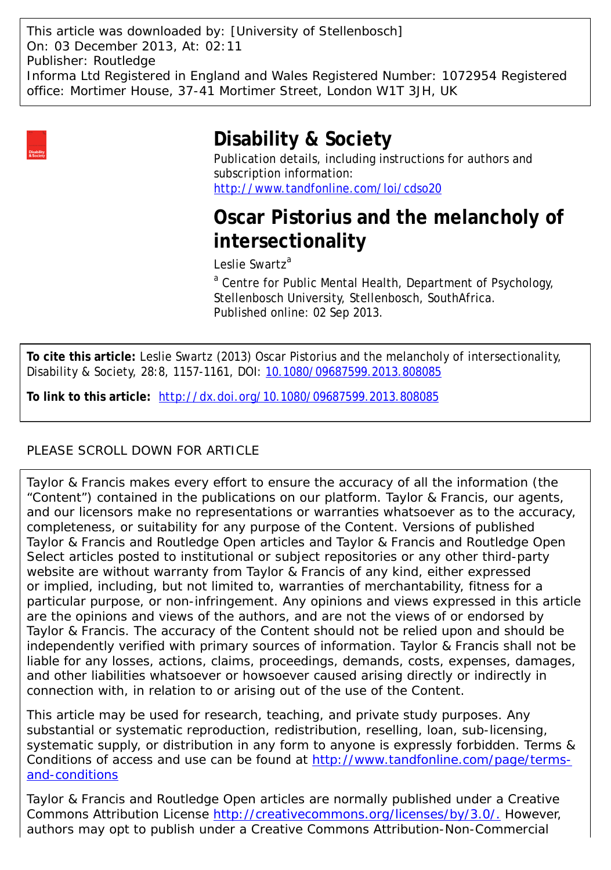This article was downloaded by: [University of Stellenbosch] On: 03 December 2013, At: 02:11 Publisher: Routledge Informa Ltd Registered in England and Wales Registered Number: 1072954 Registered office: Mortimer House, 37-41 Mortimer Street, London W1T 3JH, UK



## **Disability & Society**

Publication details, including instructions for authors and subscription information: <http://www.tandfonline.com/loi/cdso20>

# **Oscar Pistorius and the melancholy of intersectionality**

Leslie Swartz<sup>a</sup>

<sup>a</sup> Centre for Public Mental Health, Department of Psychology, Stellenbosch University, Stellenbosch, SouthAfrica. Published online: 02 Sep 2013.

**To cite this article:** Leslie Swartz (2013) Oscar Pistorius and the melancholy of intersectionality, Disability & Society, 28:8, 1157-1161, DOI: [10.1080/09687599.2013.808085](http://www.tandfonline.com/action/showCitFormats?doi=10.1080/09687599.2013.808085)

**To link to this article:** <http://dx.doi.org/10.1080/09687599.2013.808085>

## PLEASE SCROLL DOWN FOR ARTICLE

Taylor & Francis makes every effort to ensure the accuracy of all the information (the "Content") contained in the publications on our platform. Taylor & Francis, our agents, and our licensors make no representations or warranties whatsoever as to the accuracy, completeness, or suitability for any purpose of the Content. Versions of published Taylor & Francis and Routledge Open articles and Taylor & Francis and Routledge Open Select articles posted to institutional or subject repositories or any other third-party website are without warranty from Taylor & Francis of any kind, either expressed or implied, including, but not limited to, warranties of merchantability, fitness for a particular purpose, or non-infringement. Any opinions and views expressed in this article are the opinions and views of the authors, and are not the views of or endorsed by Taylor & Francis. The accuracy of the Content should not be relied upon and should be independently verified with primary sources of information. Taylor & Francis shall not be liable for any losses, actions, claims, proceedings, demands, costs, expenses, damages, and other liabilities whatsoever or howsoever caused arising directly or indirectly in connection with, in relation to or arising out of the use of the Content.

This article may be used for research, teaching, and private study purposes. Any substantial or systematic reproduction, redistribution, reselling, loan, sub-licensing, systematic supply, or distribution in any form to anyone is expressly forbidden. Terms & Conditions of access and use can be found at [http://www.tandfonline.com/page/terms](http://www.tandfonline.com/page/terms-and-conditions)[and-conditions](http://www.tandfonline.com/page/terms-and-conditions)

Taylor & Francis and Routledge Open articles are normally published under a Creative Commons Attribution License<http://creativecommons.org/licenses/by/3.0/.> However, authors may opt to publish under a Creative Commons Attribution-Non-Commercial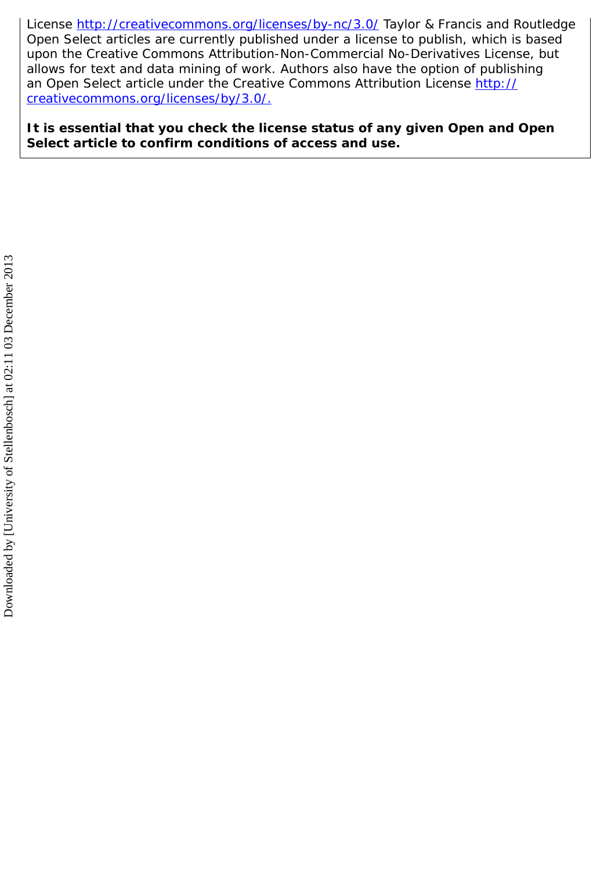License<http://creativecommons.org/licenses/by-nc/3.0/> Taylor & Francis and Routledge Open Select articles are currently published under a license to publish, which is based upon the Creative Commons Attribution-Non-Commercial No-Derivatives License, but allows for text and data mining of work. Authors also have the option of publishing an Open Select article under the Creative Commons Attribution License [http://](http://creativecommons.org/licenses/by/3.0/.) [creativecommons.org/licenses/by/3.0/.](http://creativecommons.org/licenses/by/3.0/.)

**It is essential that you check the license status of any given Open and Open Select article to confirm conditions of access and use.**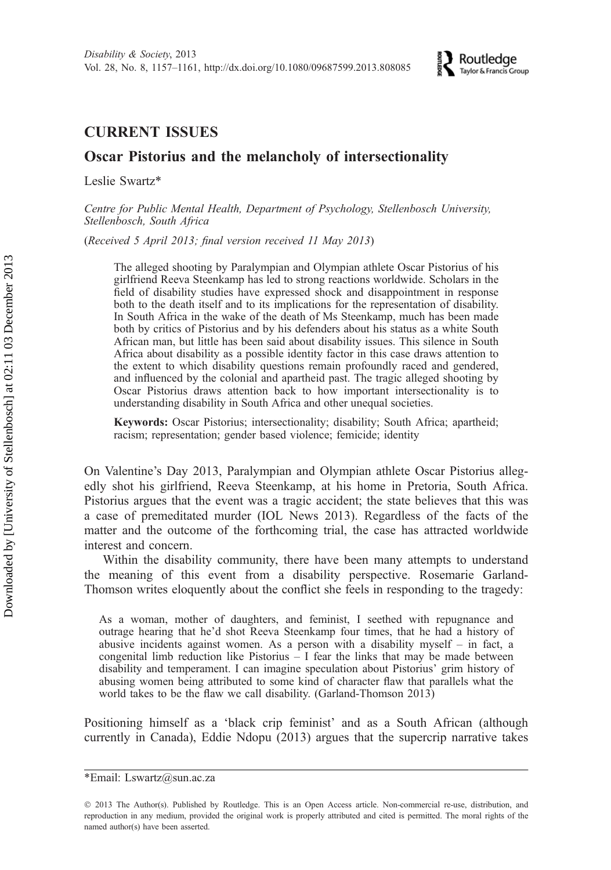### CURRENT ISSUES

### Oscar Pistorius and the melancholy of intersectionality

Leslie Swartz\*

Centre for Public Mental Health, Department of Psychology, Stellenbosch University, Stellenbosch, South Africa

(Received 5 April 2013; final version received 11 May 2013)

The alleged shooting by Paralympian and Olympian athlete Oscar Pistorius of his girlfriend Reeva Steenkamp has led to strong reactions worldwide. Scholars in the field of disability studies have expressed shock and disappointment in response both to the death itself and to its implications for the representation of disability. In South Africa in the wake of the death of Ms Steenkamp, much has been made both by critics of Pistorius and by his defenders about his status as a white South African man, but little has been said about disability issues. This silence in South Africa about disability as a possible identity factor in this case draws attention to the extent to which disability questions remain profoundly raced and gendered, and influenced by the colonial and apartheid past. The tragic alleged shooting by Oscar Pistorius draws attention back to how important intersectionality is to understanding disability in South Africa and other unequal societies.

Keywords: Oscar Pistorius; intersectionality; disability; South Africa; apartheid; racism; representation; gender based violence; femicide; identity

On Valentine's Day 2013, Paralympian and Olympian athlete Oscar Pistorius allegedly shot his girlfriend, Reeva Steenkamp, at his home in Pretoria, South Africa. Pistorius argues that the event was a tragic accident; the state believes that this was a case of premeditated murder (IOL News 2013). Regardless of the facts of the matter and the outcome of the forthcoming trial, the case has attracted worldwide interest and concern.

Within the disability community, there have been many attempts to understand the meaning of this event from a disability perspective. Rosemarie Garland-Thomson writes eloquently about the conflict she feels in responding to the tragedy:

As a woman, mother of daughters, and feminist, I seethed with repugnance and outrage hearing that he'd shot Reeva Steenkamp four times, that he had a history of abusive incidents against women. As a person with a disability myself – in fact, a congenital limb reduction like Pistorius  $-1$  fear the links that may be made between disability and temperament. I can imagine speculation about Pistorius' grim history of abusing women being attributed to some kind of character flaw that parallels what the world takes to be the flaw we call disability. (Garland-Thomson 2013)

Positioning himself as a 'black crip feminist' and as a South African (although currently in Canada), Eddie Ndopu (2013) argues that the supercrip narrative takes

<sup>\*</sup>Email: Lswartz@sun.ac.za

2013 The Author(s). Published by Routledge. This is an Open Access article. Non-commercial re-use, distribution, and reproduction in any medium, provided the original work is properly attributed and cited is permitted. The moral rights of the named author(s) have been asserted.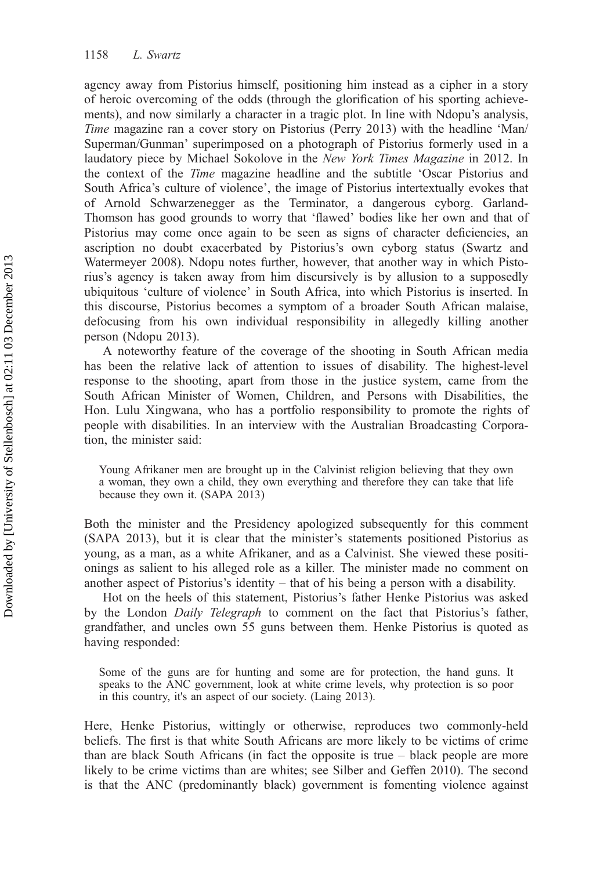agency away from Pistorius himself, positioning him instead as a cipher in a story of heroic overcoming of the odds (through the glorification of his sporting achievements), and now similarly a character in a tragic plot. In line with Ndopu's analysis, Time magazine ran a cover story on Pistorius (Perry 2013) with the headline 'Man/ Superman/Gunman' superimposed on a photograph of Pistorius formerly used in a laudatory piece by Michael Sokolove in the *New York Times Magazine* in 2012. In the context of the Time magazine headline and the subtitle 'Oscar Pistorius and South Africa's culture of violence', the image of Pistorius intertextually evokes that of Arnold Schwarzenegger as the Terminator, a dangerous cyborg. Garland-Thomson has good grounds to worry that 'flawed' bodies like her own and that of Pistorius may come once again to be seen as signs of character deficiencies, an ascription no doubt exacerbated by Pistorius's own cyborg status (Swartz and Watermeyer 2008). Ndopu notes further, however, that another way in which Pistorius's agency is taken away from him discursively is by allusion to a supposedly ubiquitous 'culture of violence' in South Africa, into which Pistorius is inserted. In this discourse, Pistorius becomes a symptom of a broader South African malaise, defocusing from his own individual responsibility in allegedly killing another person (Ndopu 2013).

A noteworthy feature of the coverage of the shooting in South African media has been the relative lack of attention to issues of disability. The highest-level response to the shooting, apart from those in the justice system, came from the South African Minister of Women, Children, and Persons with Disabilities, the Hon. Lulu Xingwana, who has a portfolio responsibility to promote the rights of people with disabilities. In an interview with the Australian Broadcasting Corporation, the minister said:

Young Afrikaner men are brought up in the Calvinist religion believing that they own a woman, they own a child, they own everything and therefore they can take that life because they own it. (SAPA 2013)

Both the minister and the Presidency apologized subsequently for this comment (SAPA 2013), but it is clear that the minister's statements positioned Pistorius as young, as a man, as a white Afrikaner, and as a Calvinist. She viewed these positionings as salient to his alleged role as a killer. The minister made no comment on another aspect of Pistorius's identity – that of his being a person with a disability.

Hot on the heels of this statement, Pistorius's father Henke Pistorius was asked by the London Daily Telegraph to comment on the fact that Pistorius's father, grandfather, and uncles own 55 guns between them. Henke Pistorius is quoted as having responded:

Some of the guns are for hunting and some are for protection, the hand guns. It speaks to the ANC government, look at white crime levels, why protection is so poor in this country, it's an aspect of our society. (Laing 2013).

Here, Henke Pistorius, wittingly or otherwise, reproduces two commonly-held beliefs. The first is that white South Africans are more likely to be victims of crime than are black South Africans (in fact the opposite is true – black people are more likely to be crime victims than are whites; see Silber and Geffen 2010). The second is that the ANC (predominantly black) government is fomenting violence against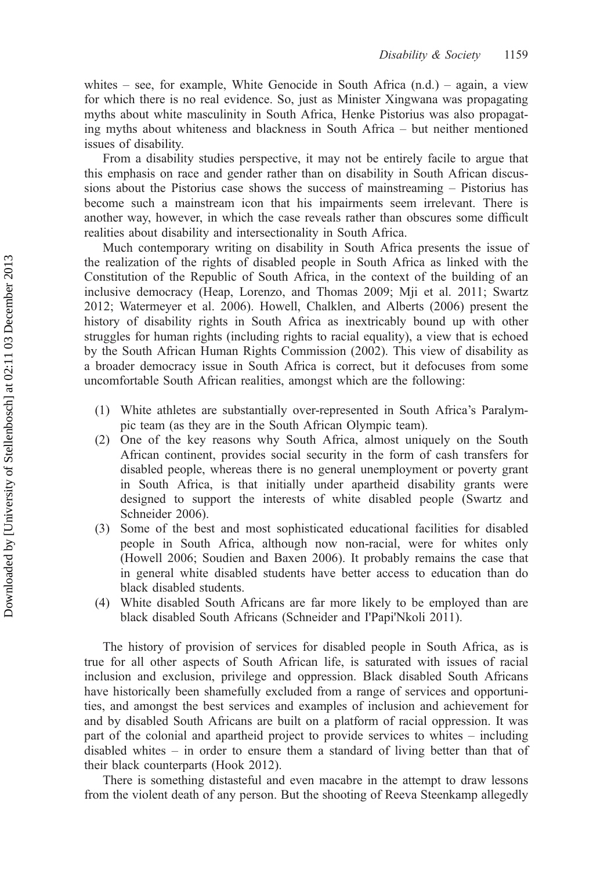whites – see, for example, White Genocide in South Africa  $(n.d.)$  – again, a view for which there is no real evidence. So, just as Minister Xingwana was propagating myths about white masculinity in South Africa, Henke Pistorius was also propagating myths about whiteness and blackness in South Africa – but neither mentioned issues of disability.

From a disability studies perspective, it may not be entirely facile to argue that this emphasis on race and gender rather than on disability in South African discussions about the Pistorius case shows the success of mainstreaming – Pistorius has become such a mainstream icon that his impairments seem irrelevant. There is another way, however, in which the case reveals rather than obscures some difficult realities about disability and intersectionality in South Africa.

Much contemporary writing on disability in South Africa presents the issue of the realization of the rights of disabled people in South Africa as linked with the Constitution of the Republic of South Africa, in the context of the building of an inclusive democracy (Heap, Lorenzo, and Thomas 2009; Mji et al. 2011; Swartz 2012; Watermeyer et al. 2006). Howell, Chalklen, and Alberts (2006) present the history of disability rights in South Africa as inextricably bound up with other struggles for human rights (including rights to racial equality), a view that is echoed by the South African Human Rights Commission (2002). This view of disability as a broader democracy issue in South Africa is correct, but it defocuses from some uncomfortable South African realities, amongst which are the following:

- (1) White athletes are substantially over-represented in South Africa's Paralympic team (as they are in the South African Olympic team).
- (2) One of the key reasons why South Africa, almost uniquely on the South African continent, provides social security in the form of cash transfers for disabled people, whereas there is no general unemployment or poverty grant in South Africa, is that initially under apartheid disability grants were designed to support the interests of white disabled people (Swartz and Schneider 2006).
- (3) Some of the best and most sophisticated educational facilities for disabled people in South Africa, although now non-racial, were for whites only (Howell 2006; Soudien and Baxen 2006). It probably remains the case that in general white disabled students have better access to education than do black disabled students.
- (4) White disabled South Africans are far more likely to be employed than are black disabled South Africans (Schneider and I'Papi'Nkoli 2011).

The history of provision of services for disabled people in South Africa, as is true for all other aspects of South African life, is saturated with issues of racial inclusion and exclusion, privilege and oppression. Black disabled South Africans have historically been shamefully excluded from a range of services and opportunities, and amongst the best services and examples of inclusion and achievement for and by disabled South Africans are built on a platform of racial oppression. It was part of the colonial and apartheid project to provide services to whites – including disabled whites – in order to ensure them a standard of living better than that of their black counterparts (Hook 2012).

There is something distasteful and even macabre in the attempt to draw lessons from the violent death of any person. But the shooting of Reeva Steenkamp allegedly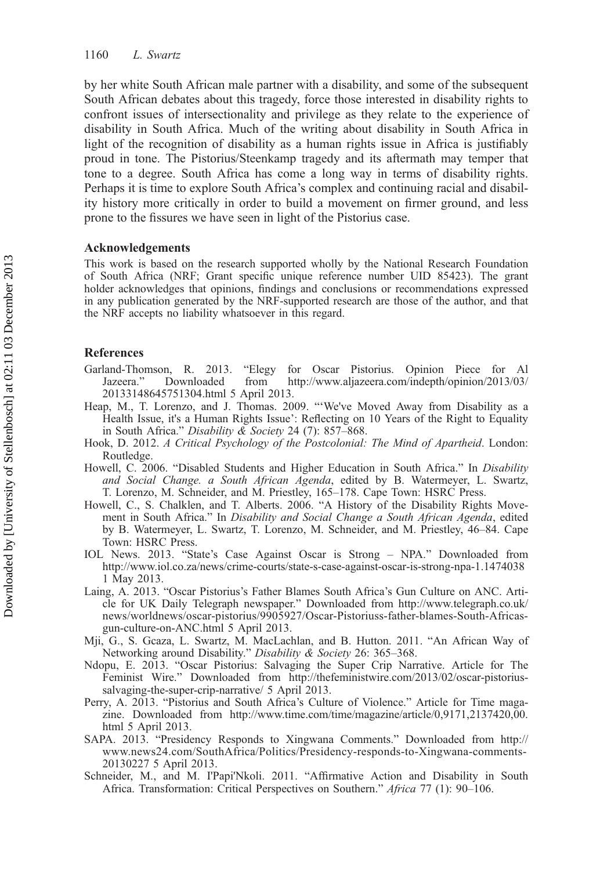by her white South African male partner with a disability, and some of the subsequent South African debates about this tragedy, force those interested in disability rights to confront issues of intersectionality and privilege as they relate to the experience of disability in South Africa. Much of the writing about disability in South Africa in light of the recognition of disability as a human rights issue in Africa is justifiably proud in tone. The Pistorius/Steenkamp tragedy and its aftermath may temper that tone to a degree. South Africa has come a long way in terms of disability rights. Perhaps it is time to explore South Africa's complex and continuing racial and disability history more critically in order to build a movement on firmer ground, and less prone to the fissures we have seen in light of the Pistorius case.

#### Acknowledgements

This work is based on the research supported wholly by the National Research Foundation of South Africa (NRF; Grant specific unique reference number UID 85423). The grant holder acknowledges that opinions, findings and conclusions or recommendations expressed in any publication generated by the NRF-supported research are those of the author, and that the NRF accepts no liability whatsoever in this regard.

#### References

- Garland-Thomson, R. 2013. "Elegy for Oscar Pistorius. Opinion Piece for Al Jazeera." Downloaded from [http://www.aljazeera.com/indepth/opinion/2013/03/](http://www.aljazeera.com/indepth/opinion/2013/03/20133148645751304.html) [20133148645751304.html](http://www.aljazeera.com/indepth/opinion/2013/03/20133148645751304.html) 5 April 2013.
- Heap, M., T. Lorenzo, and J. Thomas. 2009. "'We've Moved Away from Disability as a Health Issue, it's a Human Rights Issue': Reflecting on 10 Years of the Right to Equality in South Africa." Disability & Society 24 (7): 857–868.
- Hook, D. 2012. A Critical Psychology of the Postcolonial: The Mind of Apartheid. London: Routledge.
- Howell, C. 2006. "Disabled Students and Higher Education in South Africa." In Disability and Social Change. a South African Agenda, edited by B. Watermeyer, L. Swartz, T. Lorenzo, M. Schneider, and M. Priestley, 165–178. Cape Town: HSRC Press.
- Howell, C., S. Chalklen, and T. Alberts. 2006. "A History of the Disability Rights Movement in South Africa." In Disability and Social Change a South African Agenda, edited by B. Watermeyer, L. Swartz, T. Lorenzo, M. Schneider, and M. Priestley, 46–84. Cape Town: HSRC Press.
- IOL News. 2013. "State's Case Against Oscar is Strong NPA." Downloaded from <http://www.iol.co.za/news/crime-courts/state-s-case-against-oscar-is-strong-npa-1.1474038> 1 May 2013.
- Laing, A. 2013. "Oscar Pistorius's Father Blames South Africa's Gun Culture on ANC. Article for UK Daily Telegraph newspaper." Downloaded from [http://www.telegraph.co.uk/](http://www.telegraph.co.uk/news/worldnews/oscar-pistorius/9905927/Oscar-Pistoriuss-father-blames-South-Africas-gun-culture-on-ANC.html) [news/worldnews/oscar-pistorius/9905927/Oscar-Pistoriuss-father-blames-South-Africas](http://www.telegraph.co.uk/news/worldnews/oscar-pistorius/9905927/Oscar-Pistoriuss-father-blames-South-Africas-gun-culture-on-ANC.html)[gun-culture-on-ANC.html](http://www.telegraph.co.uk/news/worldnews/oscar-pistorius/9905927/Oscar-Pistoriuss-father-blames-South-Africas-gun-culture-on-ANC.html) 5 April 2013.
- Mji, G., S. Gcaza, L. Swartz, M. MacLachlan, and B. Hutton. 2011. "An African Way of Networking around Disability." Disability & Society 26: 365–368.
- Ndopu, E. 2013. "Oscar Pistorius: Salvaging the Super Crip Narrative. Article for The Feminist Wire." Downloaded from [http://thefeministwire.com/2013/02/oscar-pistorius](http://thefeministwire.com/2013/02/oscar-pistorius-salvaging-the-super-crip-narrative/)[salvaging-the-super-crip-narrative/](http://thefeministwire.com/2013/02/oscar-pistorius-salvaging-the-super-crip-narrative/) 5 April 2013.
- Perry, A. 2013. "Pistorius and South Africa's Culture of Violence." Article for Time magazine. Downloaded from [http://www.time.com/time/magazine/article/0,9171,2137420,00.](http://www.time.com/time/magazine/article/0,9171,2137420,00.html) [html](http://www.time.com/time/magazine/article/0,9171,2137420,00.html) 5 April 2013.
- SAPA. 2013. "Presidency Responds to Xingwana Comments." Downloaded from [http://](http://www.news24.com/SouthAfrica/Politics/Presidency-responds-to-Xingwana-comments-20130227) [www.news24.com/SouthAfrica/Politics/Presidency-responds-to-Xingwana-comments-](http://www.news24.com/SouthAfrica/Politics/Presidency-responds-to-Xingwana-comments-20130227)[20130227](http://www.news24.com/SouthAfrica/Politics/Presidency-responds-to-Xingwana-comments-20130227) 5 April 2013.
- Schneider, M., and M. I'Papi'Nkoli. 2011. "Affirmative Action and Disability in South Africa. Transformation: Critical Perspectives on Southern." Africa 77 (1): 90-106.